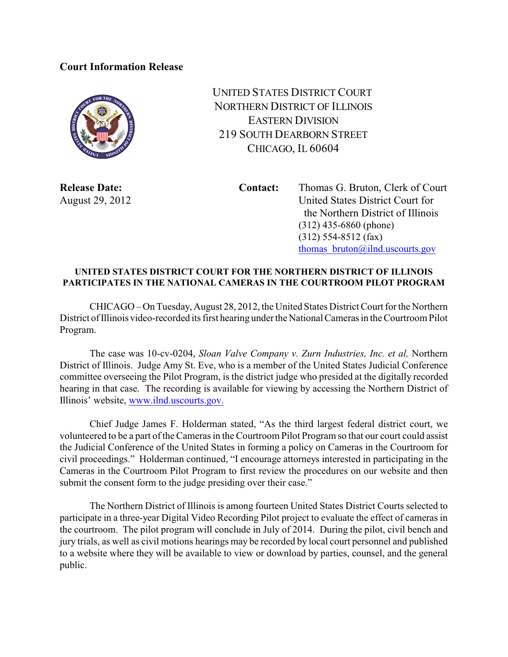## **Court Information Release**



UNITED STATES DISTRICT COURT NORTHERN DISTRICT OF ILLINOIS EASTERN DIVISION 219 SOUTH DEARBORN STREET CHICAGO, IL 60604

**Release Date: Contact:** Thomas G. Bruton, Clerk of Court August 29, 2012 United States District Court for the Northern District of Illinois (312) 435-6860 (phone) (312) 554-8512 (fax) thomas bruton@ilnd.uscourts.gov

## **UNITED STATES DISTRICT COURT FOR THE NORTHERN DISTRICT OF ILLINOIS PARTICIPATES IN THE NATIONAL CAMERAS IN THE COURTROOM PILOT PROGRAM**

CHICAGO – On Tuesday, August 28, 2012, the United States District Court for the Northern District of Illinois video-recorded its first hearing under the National Cameras in the Courtroom Pilot Program.

The case was 10-cv-0204, *Sloan Valve Company v. Zurn Industries, Inc. et al,* Northern District of Illinois. Judge Amy St. Eve, who is a member of the United States Judicial Conference committee overseeing the Pilot Program, is the district judge who presided at the digitally recorded hearing in that case. The recording is available for viewing by accessing the Northern District of Illinois' website, [www.ilnd.uscourts.gov.](http://www.ilnd.uscourts.gov.)

Chief Judge James F. Holderman stated, "As the third largest federal district court, we volunteered to be a part of the Cameras in the Courtroom Pilot Program so that our court could assist the Judicial Conference of the United States in forming a policy on Cameras in the Courtroom for civil proceedings." Holderman continued, "I encourage attorneys interested in participating in the Cameras in the Courtroom Pilot Program to first review the procedures on our website and then submit the consent form to the judge presiding over their case."

The Northern District of Illinois is among fourteen United States District Courts selected to participate in a three-year Digital Video Recording Pilot project to evaluate the effect of cameras in the courtroom. The pilot program will conclude in July of 2014. During the pilot, civil bench and jury trials, as well as civil motions hearings may be recorded by local court personnel and published to a website where they will be available to view or download by parties, counsel, and the general public.